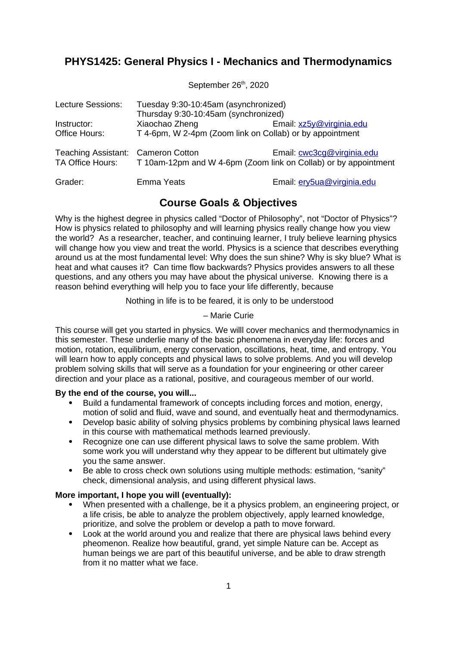# **PHYS1425: General Physics I - Mechanics and Thermodynamics**

September 26<sup>th</sup>, 2020 Lecture Sessions: Tuesday 9:30-10:45am (asynchronized) Thursday 9:30-10:45am (synchronized) Instructor: Xiaochao Zheng Email: [xz5y@virginia.edu](mailto:xz5y@virginia.edu) Office Hours: T 4-6pm, W 2-4pm (Zoom link on Collab) or by appointment Teaching Assistant: Cameron Cotton **Email:** [cwc3cg@virginia.edu](mailto:cwc3cg@virginia.edu) TA Office Hours: T 10am-12pm and W 4-6pm (Zoom link on Collab) or by appointment

Grader: Emma Yeats Email: [ery5ua@virginia.edu](mailto:ery5ua@virginia.edu)

# **Course Goals & Objectives**

Why is the highest degree in physics called "Doctor of Philosophy", not "Doctor of Physics"? How is physics related to philosophy and will learning physics really change how you view the world? As a researcher, teacher, and continuing learner, I truly believe learning physics will change how you view and treat the world. Physics is a science that describes everything around us at the most fundamental level: Why does the sun shine? Why is sky blue? What is heat and what causes it? Can time flow backwards? Physics provides answers to all these questions, and any others you may have about the physical universe. Knowing there is a reason behind everything will help you to face your life differently, because

Nothing in life is to be feared, it is only to be understood

– Marie Curie

This course will get you started in physics. We willl cover mechanics and thermodynamics in this semester. These underlie many of the basic phenomena in everyday life: forces and motion, rotation, equilibrium, energy conservation, oscillations, heat, time, and entropy. You will learn how to apply concepts and physical laws to solve problems. And you will develop problem solving skills that will serve as a foundation for your engineering or other career direction and your place as a rational, positive, and courageous member of our world.

#### **By the end of the course, you will...**

- Build a fundamental framework of concepts including forces and motion, energy, motion of solid and fluid, wave and sound, and eventually heat and thermodynamics.
- Develop basic ability of solving physics problems by combining physical laws learned in this course with mathematical methods learned previously.
- Recognize one can use different physical laws to solve the same problem. With some work you will understand why they appear to be different but ultimately give you the same answer.
- Be able to cross check own solutions using multiple methods: estimation, "sanity" check, dimensional analysis, and using different physical laws.

#### **More important, I hope you will (eventually):**

- When presented with a challenge, be it a physics problem, an engineering project, or a life crisis, be able to analyze the problem objectively, apply learned knowledge, prioritize, and solve the problem or develop a path to move forward.
- Look at the world around you and realize that there are physical laws behind every pheomenon. Realize how beautiful, grand, yet simple Nature can be. Accept as human beings we are part of this beautiful universe, and be able to draw strength from it no matter what we face.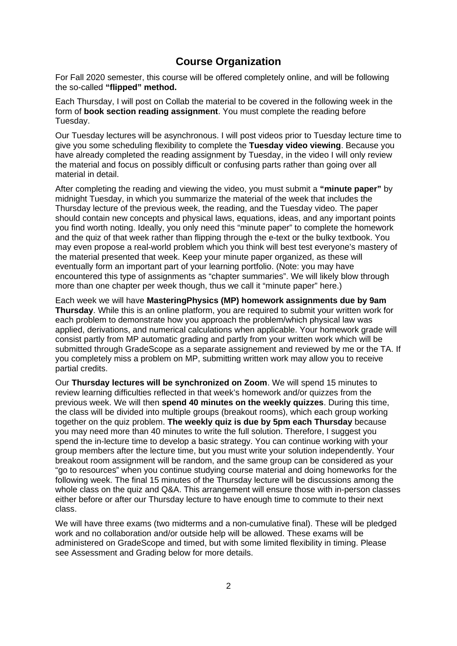# **Course Organization**

For Fall 2020 semester, this course will be offered completely online, and will be following the so-called **"flipped" method.**

Each Thursday, I will post on Collab the material to be covered in the following week in the form of **book section reading assignment**. You must complete the reading before Tuesday.

Our Tuesday lectures will be asynchronous. I will post videos prior to Tuesday lecture time to give you some scheduling flexibility to complete the **Tuesday video viewing**. Because you have already completed the reading assignment by Tuesday, in the video I will only review the material and focus on possibly difficult or confusing parts rather than going over all material in detail.

After completing the reading and viewing the video, you must submit a **"minute paper"** by midnight Tuesday, in which you summarize the material of the week that includes the Thursday lecture of the previous week, the reading, and the Tuesday video. The paper should contain new concepts and physical laws, equations, ideas, and any important points you find worth noting. Ideally, you only need this "minute paper" to complete the homework and the quiz of that week rather than flipping through the e-text or the bulky textbook. You may even propose a real-world problem which you think will best test everyone's mastery of the material presented that week. Keep your minute paper organized, as these will eventually form an important part of your learning portfolio. (Note: you may have encountered this type of assignments as "chapter summaries". We will likely blow through more than one chapter per week though, thus we call it "minute paper" here.)

Each week we will have **MasteringPhysics (MP) homework assignments due by 9am Thursday**. While this is an online platform, you are required to submit your written work for each problem to demonstrate how you approach the problem/which physical law was applied, derivations, and numerical calculations when applicable. Your homework grade will consist partly from MP automatic grading and partly from your written work which will be submitted through GradeScope as a separate assignement and reviewed by me or the TA. If you completely miss a problem on MP, submitting written work may allow you to receive partial credits.

Our **Thursday lectures will be synchronized on Zoom**. We will spend 15 minutes to review learning difficulties reflected in that week's homework and/or quizzes from the previous week. We will then **spend 40 minutes on the weekly quizzes**. During this time, the class will be divided into multiple groups (breakout rooms), which each group working together on the quiz problem. **The weekly quiz is due by 5pm each Thursday** because you may need more than 40 minutes to write the full solution. Therefore, I suggest you spend the in-lecture time to develop a basic strategy. You can continue working with your group members after the lecture time, but you must write your solution independently. Your breakout room assignment will be random, and the same group can be considered as your "go to resources" when you continue studying course material and doing homeworks for the following week. The final 15 minutes of the Thursday lecture will be discussions among the whole class on the quiz and Q&A. This arrangement will ensure those with in-person classes either before or after our Thursday lecture to have enough time to commute to their next class.

We will have three exams (two midterms and a non-cumulative final). These will be pledged work and no collaboration and/or outside help will be allowed. These exams will be administered on GradeScope and timed, but with some limited flexibility in timing. Please see Assessment and Grading below for more details.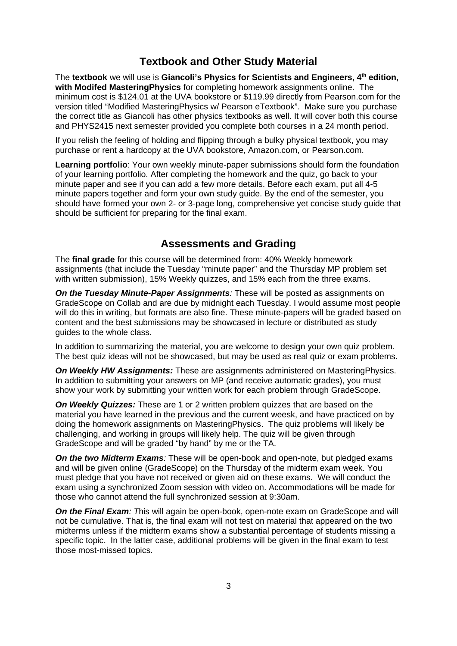# **Textbook and Other Study Material**

The **textbook** we will use is **Giancoli's Physics for Scientists and Engineers, 4th edition, with Modifed MasteringPhysics** for completing homework assignments online. The minimum cost is \$124.01 at the UVA bookstore or \$119.99 directly from Pearson.com for the version titled "Modified MasteringPhysics w/ Pearson eTextbook". Make sure you purchase the correct title as Giancoli has other physics textbooks as well. It will cover both this course and PHYS2415 next semester provided you complete both courses in a 24 month period.

If you relish the feeling of holding and flipping through a bulky physical textbook, you may purchase or rent a hardcopy at the UVA bookstore, Amazon.com, or Pearson.com.

**Learning portfolio**: Your own weekly minute-paper submissions should form the foundation of your learning portfolio. After completing the homework and the quiz, go back to your minute paper and see if you can add a few more details. Before each exam, put all 4-5 minute papers together and form your own study guide. By the end of the semester, you should have formed your own 2- or 3-page long, comprehensive yet concise study guide that should be sufficient for preparing for the final exam.

#### **Assessments and Grading**

The **final grade** for this course will be determined from: 40% Weekly homework assignments (that include the Tuesday "minute paper" and the Thursday MP problem set with written submission), 15% Weekly quizzes, and 15% each from the three exams.

*On the Tuesday Minute-Paper Assignments:* These will be posted as assignments on GradeScope on Collab and are due by midnight each Tuesday. I would assume most people will do this in writing, but formats are also fine. These minute-papers will be graded based on content and the best submissions may be showcased in lecture or distributed as study guides to the whole class.

In addition to summarizing the material, you are welcome to design your own quiz problem. The best quiz ideas will not be showcased, but may be used as real quiz or exam problems.

*On Weekly HW Assignments:* These are assignments administered on MasteringPhysics. In addition to submitting your answers on MP (and receive automatic grades), you must show your work by submitting your written work for each problem through GradeScope.

*On Weekly Quizzes:* These are 1 or 2 written problem quizzes that are based on the material you have learned in the previous and the current weesk, and have practiced on by doing the homework assignments on MasteringPhysics. The quiz problems will likely be challenging, and working in groups will likely help. The quiz will be given through GradeScope and will be graded "by hand" by me or the TA.

*On the two Midterm Exams:* These will be open-book and open-note, but pledged exams and will be given online (GradeScope) on the Thursday of the midterm exam week. You must pledge that you have not received or given aid on these exams. We will conduct the exam using a synchronized Zoom session with video on. Accommodations will be made for those who cannot attend the full synchronized session at 9:30am.

*On the Final Exam: T*his will again be open-book, open-note exam on GradeScope and will not be cumulative. That is, the final exam will not test on material that appeared on the two midterms unless if the midterm exams show a substantial percentage of students missing a specific topic. In the latter case, additional problems will be given in the final exam to test those most-missed topics.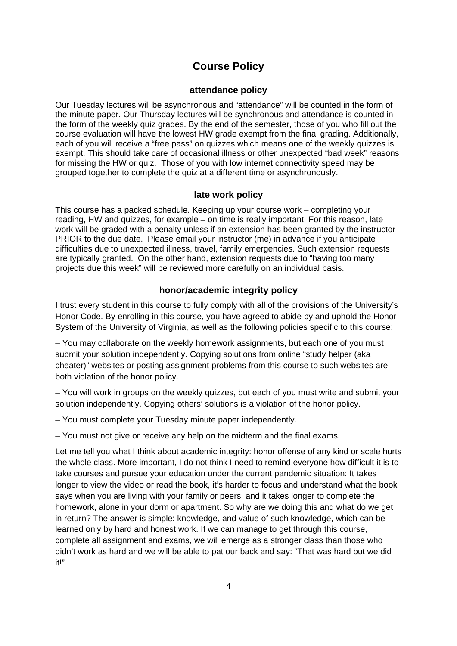# **Course Policy**

#### **attendance policy**

Our Tuesday lectures will be asynchronous and "attendance" will be counted in the form of the minute paper. Our Thursday lectures will be synchronous and attendance is counted in the form of the weekly quiz grades. By the end of the semester, those of you who fill out the course evaluation will have the lowest HW grade exempt from the final grading. Additionally, each of you will receive a "free pass" on quizzes which means one of the weekly quizzes is exempt. This should take care of occasional illness or other unexpected "bad week" reasons for missing the HW or quiz. Those of you with low internet connectivity speed may be grouped together to complete the quiz at a different time or asynchronously.

#### **late work policy**

This course has a packed schedule. Keeping up your course work – completing your reading, HW and quizzes, for example – on time is really important. For this reason, late work will be graded with a penalty unless if an extension has been granted by the instructor PRIOR to the due date. Please email your instructor (me) in advance if you anticipate difficulties due to unexpected illness, travel, family emergencies. Such extension requests are typically granted. On the other hand, extension requests due to "having too many projects due this week" will be reviewed more carefully on an individual basis.

## **honor/academic integrity policy**

I trust every student in this course to fully comply with all of the provisions of the University's Honor Code. By enrolling in this course, you have agreed to abide by and uphold the Honor System of the University of Virginia, as well as the following policies specific to this course:

– You may collaborate on the weekly homework assignments, but each one of you must submit your solution independently. Copying solutions from online "study helper (aka cheater)" websites or posting assignment problems from this course to such websites are both violation of the honor policy.

– You will work in groups on the weekly quizzes, but each of you must write and submit your solution independently. Copying others' solutions is a violation of the honor policy.

– You must complete your Tuesday minute paper independently.

– You must not give or receive any help on the midterm and the final exams.

Let me tell you what I think about academic integrity: honor offense of any kind or scale hurts the whole class. More important, I do not think I need to remind everyone how difficult it is to take courses and pursue your education under the current pandemic situation: It takes longer to view the video or read the book, it's harder to focus and understand what the book says when you are living with your family or peers, and it takes longer to complete the homework, alone in your dorm or apartment. So why are we doing this and what do we get in return? The answer is simple: knowledge, and value of such knowledge, which can be learned only by hard and honest work. If we can manage to get through this course, complete all assignment and exams, we will emerge as a stronger class than those who didn't work as hard and we will be able to pat our back and say: "That was hard but we did it!"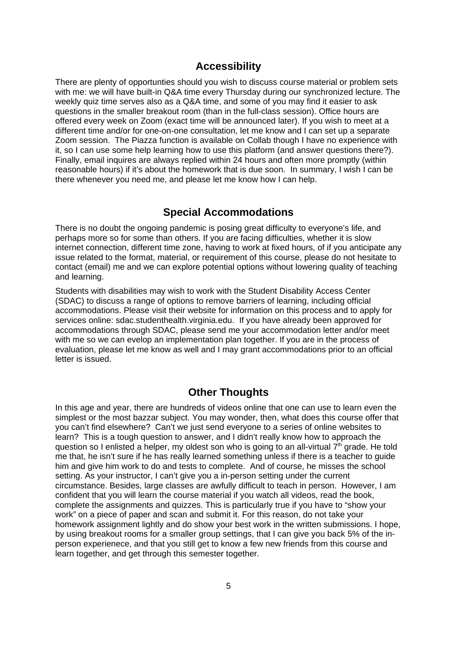# **Accessibility**

There are plenty of opportunties should you wish to discuss course material or problem sets with me: we will have built-in Q&A time every Thursday during our synchronized lecture. The weekly quiz time serves also as a Q&A time, and some of you may find it easier to ask questions in the smaller breakout room (than in the full-class session). Office hours are offered every week on Zoom (exact time will be announced later). If you wish to meet at a different time and/or for one-on-one consultation, let me know and I can set up a separate Zoom session. The Piazza function is available on Collab though I have no experience with it, so I can use some help learning how to use this platform (and answer questions there?). Finally, email inquires are always replied within 24 hours and often more promptly (within reasonable hours) if it's about the homework that is due soon. In summary, I wish I can be there whenever you need me, and please let me know how I can help.

## **Special Accommodations**

There is no doubt the ongoing pandemic is posing great difficulty to everyone's life, and perhaps more so for some than others. If you are facing difficulties, whether it is slow internet connection, different time zone, having to work at fixed hours, of if you anticipate any issue related to the format, material, or requirement of this course, please do not hesitate to contact (email) me and we can explore potential options without lowering quality of teaching and learning.

Students with disabilities may wish to work with the Student Disability Access Center (SDAC) to discuss a range of options to remove barriers of learning, including official accommodations. Please visit their website for information on this process and to apply for services online: sdac.studenthealth.virginia.edu. If you have already been approved for accommodations through SDAC, please send me your accommodation letter and/or meet with me so we can evelop an implementation plan together. If you are in the process of evaluation, please let me know as well and I may grant accommodations prior to an official letter is issued.

## **Other Thoughts**

In this age and year, there are hundreds of videos online that one can use to learn even the simplest or the most bazzar subject. You may wonder, then, what does this course offer that you can't find elsewhere? Can't we just send everyone to a series of online websites to learn? This is a tough question to answer, and I didn't really know how to approach the question so I enlisted a helper, my oldest son who is going to an all-virtual  $7<sup>th</sup>$  grade. He told me that, he isn't sure if he has really learned something unless if there is a teacher to guide him and give him work to do and tests to complete. And of course, he misses the school setting. As your instructor, I can't give you a in-person setting under the current circumstance. Besides, large classes are awfully difficult to teach in person. However, I am confident that you will learn the course material if you watch all videos, read the book, complete the assignments and quizzes. This is particularly true if you have to "show your work" on a piece of paper and scan and submit it. For this reason, do not take your homework assignment lightly and do show your best work in the written submissions. I hope, by using breakout rooms for a smaller group settings, that I can give you back 5% of the inperson experienece, and that you still get to know a few new friends from this course and learn together, and get through this semester together.